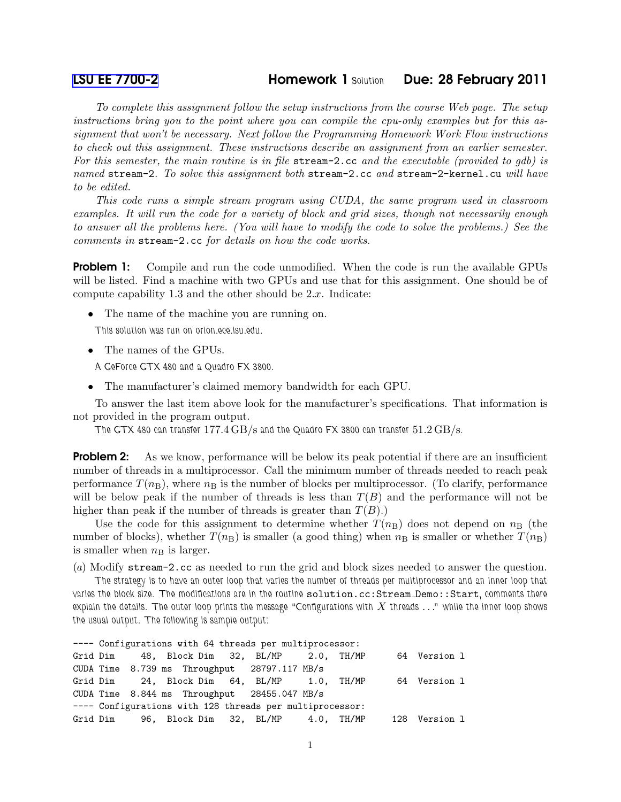## [LSU EE 7700-2](http://www.ece.lsu.edu/gp/) Homework 1 *Solution* Due: 28 February 2011

To complete this assignment follow the setup instructions from the course Web page. The setup instructions bring you to the point where you can compile the cpu-only examples but for this assignment that won't be necessary. Next follow the Programming Homework Work Flow instructions to check out this assignment. These instructions describe an assignment from an earlier semester. For this semester, the main routine is in file stream-2.cc and the executable (provided to gdb) is named stream-2. To solve this assignment both stream-2.cc and stream-2-kernel.cu will have to be edited.

This code runs a simple stream program using CUDA, the same program used in classroom examples. It will run the code for a variety of block and grid sizes, though not necessarily enough to answer all the problems here. (You will have to modify the code to solve the problems.) See the comments in stream-2.cc for details on how the code works.

**Problem 1:** Compile and run the code unmodified. When the code is run the available GPUs will be listed. Find a machine with two GPUs and use that for this assignment. One should be of compute capability 1.3 and the other should be  $2.x$ . Indicate:

• The name of the machine you are running on.

*This solution was run on orion.ece.lsu.edu.*

• The names of the GPUs.

*A GeForce GTX 480 and a Quadro FX 3800.*

• The manufacturer's claimed memory bandwidth for each GPU.

To answer the last item above look for the manufacturer's specifications. That information is not provided in the program output.

*The GTX 480 can transfer* 177.4 GB/s *and the Quadro FX 3800 can transfer* 51.2 GB/s*.*

**Problem 2:** As we know, performance will be below its peak potential if there are an insufficient number of threads in a multiprocessor. Call the minimum number of threads needed to reach peak performance  $T(n_{\rm B})$ , where  $n_{\rm B}$  is the number of blocks per multiprocessor. (To clarify, performance will be below peak if the number of threads is less than  $T(B)$  and the performance will not be higher than peak if the number of threads is greater than  $T(B)$ .)

Use the code for this assignment to determine whether  $T(n<sub>B</sub>)$  does not depend on  $n<sub>B</sub>$  (the number of blocks), whether  $T(n_B)$  is smaller (a good thing) when  $n_B$  is smaller or whether  $T(n_B)$ is smaller when  $n<sub>B</sub>$  is larger.

(a) Modify stream-2.cc as needed to run the grid and block sizes needed to answer the question.

*The strategy is to have an outer loop that varies the number of threads per multiprocessor and an inner loop that varies the block size. The modifications are in the routine* solution.cc:Stream Demo::Start*, comments there explain the details. The outer loop prints the message "Configurations with* X *threads* ..." while the inner loop shows *the usual output. The following is sample output:*

---- Configurations with 64 threads per multiprocessor: Grid Dim 48, Block Dim 32, BL/MP 2.0, TH/MP 64 Version l CUDA Time 8.739 ms Throughput 28797.117 MB/s Grid Dim 24, Block Dim 64, BL/MP 1.0, TH/MP 64 Version l CUDA Time 8.844 ms Throughput 28455.047 MB/s ---- Configurations with 128 threads per multiprocessor: Grid Dim 96, Block Dim 32, BL/MP 4.0, TH/MP 128 Version l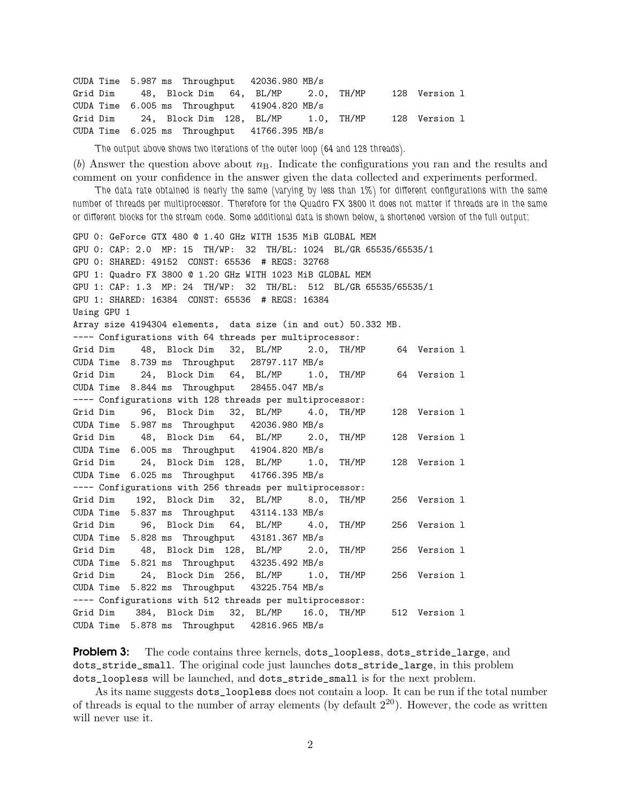```
CUDA Time 5.987 ms Throughput 42036.980 MB/s
Grid Dim 48, Block Dim 64, BL/MP 2.0, TH/MP 128 Version l
CUDA Time 6.005 ms Throughput 41904.820 MB/s
Grid Dim 24, Block Dim 128, BL/MP 1.0, TH/MP 128 Version l
CUDA Time 6.025 ms Throughput 41766.395 MB/s
```
*The output above shows two iterations of the outer loop (64 and 128 threads).*

(b) Answer the question above about  $n<sub>B</sub>$ . Indicate the configurations you ran and the results and comment on your confidence in the answer given the data collected and experiments performed.

*The data rate obtained is nearly the same (varying by less than 1%) for different configurations with the same number of threads per multiprocessor. Therefore for the Quadro FX 3800 it does not matter if threads are in the same or different blocks for the stream code. Some additional data is shown below, a shortened version of the full output:*

```
GPU 0: GeForce GTX 480 @ 1.40 GHz WITH 1535 MiB GLOBAL MEM
GPU 0: CAP: 2.0 MP: 15 TH/WP: 32 TH/BL: 1024 BL/GR 65535/65535/1
GPU 0: SHARED: 49152 CONST: 65536 # REGS: 32768
GPU 1: Quadro FX 3800 @ 1.20 GHz WITH 1023 MiB GLOBAL MEM
GPU 1: CAP: 1.3 MP: 24 TH/WP: 32 TH/BL: 512 BL/GR 65535/65535/1
GPU 1: SHARED: 16384 CONST: 65536 # REGS: 16384
Using GPU 1
Array size 4194304 elements, data size (in and out) 50.332 MB.
---- Configurations with 64 threads per multiprocessor:
Grid Dim 48, Block Dim 32, BL/MP 2.0, TH/MP 64 Version l
CUDA Time 8.739 ms Throughput 28797.117 MB/s
Grid Dim 24, Block Dim 64, BL/MP 1.0, TH/MP 64 Version l
CUDA Time 8.844 ms Throughput 28455.047 MB/s
---- Configurations with 128 threads per multiprocessor:
Grid Dim 96, Block Dim 32, BL/MP 4.0, TH/MP 128 Version l
CUDA Time 5.987 ms Throughput 42036.980 MB/s
Grid Dim 48, Block Dim 64, BL/MP 2.0, TH/MP 128 Version l
CUDA Time 6.005 ms Throughput 41904.820 MB/s
Grid Dim 24, Block Dim 128, BL/MP 1.0, TH/MP 128 Version l
CUDA Time 6.025 ms Throughput 41766.395 MB/s
---- Configurations with 256 threads per multiprocessor:
Grid Dim 192, Block Dim 32, BL/MP 8.0, TH/MP 256 Version l
CUDA Time 5.837 ms Throughput 43114.133 MB/s
Grid Dim 96, Block Dim 64, BL/MP 4.0, TH/MP 256 Version l
CUDA Time 5.828 ms Throughput 43181.367 MB/s
Grid Dim 48, Block Dim 128, BL/MP 2.0, TH/MP 256 Version l
CUDA Time 5.821 ms Throughput 43235.492 MB/s
Grid Dim 24, Block Dim 256, BL/MP 1.0, TH/MP 256 Version l
CUDA Time 5.822 ms Throughput 43225.754 MB/s
---- Configurations with 512 threads per multiprocessor:
Grid Dim 384, Block Dim 32, BL/MP 16.0, TH/MP 512 Version l
CUDA Time 5.878 ms Throughput 42816.965 MB/s
```
**Problem 3:** The code contains three kernels, dots\_loopless, dots\_stride\_large, and dots\_stride\_small. The original code just launches dots\_stride\_large, in this problem dots\_loopless will be launched, and dots\_stride\_small is for the next problem.

As its name suggests dots\_loopless does not contain a loop. It can be run if the total number of threads is equal to the number of array elements (by default  $2^{20}$ ). However, the code as written will never use it.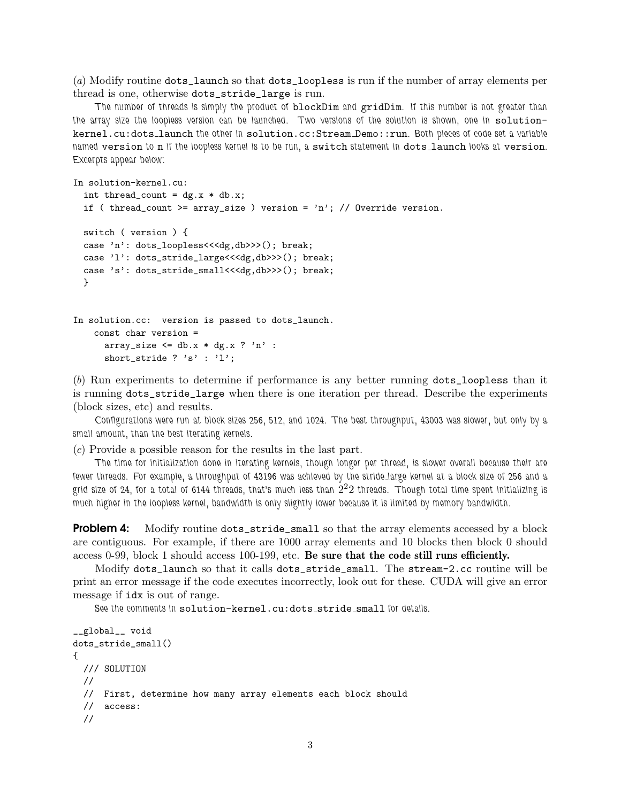(a) Modify routine dots\_launch so that dots\_loopless is run if the number of array elements per thread is one, otherwise dots\_stride\_large is run.

*The number of threads is simply the product of* blockDim *and* gridDim*. If this number is not greater than* the array size the loopless version can be launched. Two versions of the solution is shown, one in solutionkernel.cu:dots launch *the other in* solution.cc:Stream Demo::run*. Both pieces of code set a variable named* version *to* n *if the loopless kernel is to be run, a* switch *statement in* dots launch *looks at* version*. Excerpts appear below:*

```
In solution-kernel.cu:
  int thread_count = dg.x * db.x;if ( thread_count >= array_size ) version = 'n'; // Override version.
  switch ( version ) {
  case 'n': dots_loopless<<<dg,db>>>(); break;
  case 'l': dots_stride_large<<<dg,db>>>(); break;
  case 's': dots_stride_small<<<dg,db>>>>(); break;
  }
In solution.cc: version is passed to dots_launch.
   const char version =
```

```
array_size \leq db.x * dg.x ? 'n' :
short_stride ? 's' : 'l';
```
(b) Run experiments to determine if performance is any better running dots\_loopless than it is running dots\_stride\_large when there is one iteration per thread. Describe the experiments (block sizes, etc) and results.

*Configurations were run at block sizes 256, 512, and 1024. The best throughput, 43003 was slower, but only by a small amount, than the best iterating kernels.*

(c) Provide a possible reason for the results in the last part.

*The time for initialization done in iterating kernels, though longer per thread, is slower overall because their are fewer threads. For example, a throughput of 43196 was achieved by the stride large kernel at a block size of 256 and a* grid size of 24, for a total of 6144 threads, that's much less than  $\check{2}^22$  threads. Though total time spent initializing is *much higher in the loopless kernel, bandwidth is only slightly lower because it is limited by memory bandwidth.*

**Problem 4:** Modify routine  $\text{dots\_stride\_small}$  so that the array elements accessed by a block are contiguous. For example, if there are 1000 array elements and 10 blocks then block 0 should access 0-99, block 1 should access 100-199, etc. Be sure that the code still runs efficiently.

Modify dots\_launch so that it calls dots\_stride\_small. The stream-2.cc routine will be print an error message if the code executes incorrectly, look out for these. CUDA will give an error message if idx is out of range.

See the comments in solution-kernel.cu:dots\_stride\_small for details.

```
__global__ void
dots_stride_small()
{
 /// SOLUTION
 //
 // First, determine how many array elements each block should
  // access:
  //
```